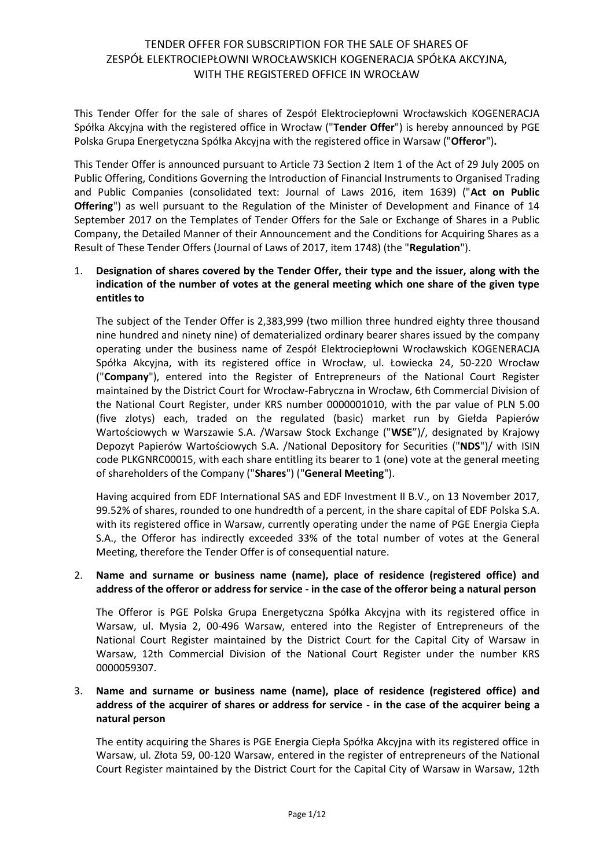This Tender Offer for the sale of shares of Zespół Elektrociepłowni Wrocławskich KOGENERACJA Spółka Akcyjna with the registered office in Wrocław ("**Tender Offer**") is hereby announced by PGE Polska Grupa Energetyczna Spółka Akcyjna with the registered office in Warsaw ("**Offeror**")**.**

This Tender Offer is announced pursuant to Article 73 Section 2 Item 1 of the Act of 29 July 2005 on Public Offering, Conditions Governing the Introduction of Financial Instruments to Organised Trading and Public Companies (consolidated text: Journal of Laws 2016, item 1639) ("**Act on Public Offering**") as well pursuant to the Regulation of the Minister of Development and Finance of 14 September 2017 on the Templates of Tender Offers for the Sale or Exchange of Shares in a Public Company, the Detailed Manner of their Announcement and the Conditions for Acquiring Shares as a Result of These Tender Offers (Journal of Laws of 2017, item 1748) (the "**Regulation**").

## 1. **Designation of shares covered by the Tender Offer, their type and the issuer, along with the indication of the number of votes at the general meeting which one share of the given type entitles to**

The subject of the Tender Offer is 2,383,999 (two million three hundred eighty three thousand nine hundred and ninety nine) of dematerialized ordinary bearer shares issued by the company operating under the business name of Zespół Elektrociepłowni Wrocławskich KOGENERACJA Spółka Akcyjna, with its registered office in Wrocław, ul. Łowiecka 24, 50-220 Wrocław ("**Company**"), entered into the Register of Entrepreneurs of the National Court Register maintained by the District Court for Wrocław-Fabryczna in Wrocław, 6th Commercial Division of the National Court Register, under KRS number 0000001010, with the par value of PLN 5.00 (five zlotys) each, traded on the regulated (basic) market run by Giełda Papierów Wartościowych w Warszawie S.A. /Warsaw Stock Exchange ("**WSE**")/, designated by Krajowy Depozyt Papierów Wartościowych S.A. /National Depository for Securities ("**NDS**")/ with ISIN code PLKGNRC00015, with each share entitling its bearer to 1 (one) vote at the general meeting of shareholders of the Company ("**Shares**") ("**General Meeting**").

Having acquired from EDF International SAS and EDF Investment II B.V., on 13 November 2017, 99.52% of shares, rounded to one hundredth of a percent, in the share capital of EDF Polska S.A. with its registered office in Warsaw, currently operating under the name of PGE Energia Ciepła S.A., the Offeror has indirectly exceeded 33% of the total number of votes at the General Meeting, therefore the Tender Offer is of consequential nature.

### 2. **Name and surname or business name (name), place of residence (registered office) and address of the offeror or address for service - in the case of the offeror being a natural person**

The Offeror is PGE Polska Grupa Energetyczna Spółka Akcyjna with its registered office in Warsaw, ul. Mysia 2, 00-496 Warsaw, entered into the Register of Entrepreneurs of the National Court Register maintained by the District Court for the Capital City of Warsaw in Warsaw, 12th Commercial Division of the National Court Register under the number KRS 0000059307.

## 3. **Name and surname or business name (name), place of residence (registered office) and address of the acquirer of shares or address for service - in the case of the acquirer being a natural person**

The entity acquiring the Shares is PGE Energia Ciepła Spółka Akcyjna with its registered office in Warsaw, ul. Złota 59, 00-120 Warsaw, entered in the register of entrepreneurs of the National Court Register maintained by the District Court for the Capital City of Warsaw in Warsaw, 12th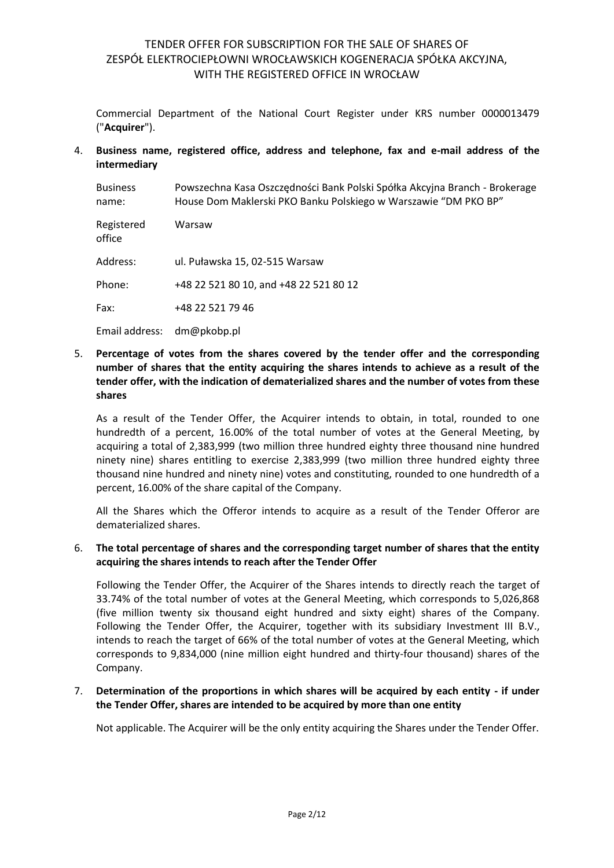Commercial Department of the National Court Register under KRS number 0000013479 ("**Acquirer**").

4. **Business name, registered office, address and telephone, fax and e-mail address of the intermediary**

| <b>Business</b><br>name: | Powszechna Kasa Oszczędności Bank Polski Spółka Akcyjna Branch - Brokerage<br>House Dom Maklerski PKO Banku Polskiego w Warszawie "DM PKO BP" |
|--------------------------|-----------------------------------------------------------------------------------------------------------------------------------------------|
| Registered<br>office     | Warsaw                                                                                                                                        |
| Address:                 | ul. Puławska 15, 02-515 Warsaw                                                                                                                |
| Phone:                   | +48 22 521 80 10, and +48 22 521 80 12                                                                                                        |
| Fax:                     | +48 22 521 79 46                                                                                                                              |
| Email address:           | dm@pkobp.pl                                                                                                                                   |

## 5. **Percentage of votes from the shares covered by the tender offer and the corresponding number of shares that the entity acquiring the shares intends to achieve as a result of the tender offer, with the indication of dematerialized shares and the number of votes from these shares**

As a result of the Tender Offer, the Acquirer intends to obtain, in total, rounded to one hundredth of a percent, 16.00% of the total number of votes at the General Meeting, by acquiring a total of 2,383,999 (two million three hundred eighty three thousand nine hundred ninety nine) shares entitling to exercise 2,383,999 (two million three hundred eighty three thousand nine hundred and ninety nine) votes and constituting, rounded to one hundredth of a percent, 16.00% of the share capital of the Company.

All the Shares which the Offeror intends to acquire as a result of the Tender Offeror are dematerialized shares.

## 6. **The total percentage of shares and the corresponding target number of shares that the entity acquiring the shares intends to reach after the Tender Offer**

Following the Tender Offer, the Acquirer of the Shares intends to directly reach the target of 33.74% of the total number of votes at the General Meeting, which corresponds to 5,026,868 (five million twenty six thousand eight hundred and sixty eight) shares of the Company. Following the Tender Offer, the Acquirer, together with its subsidiary Investment III B.V., intends to reach the target of 66% of the total number of votes at the General Meeting, which corresponds to 9,834,000 (nine million eight hundred and thirty-four thousand) shares of the Company.

### 7. **Determination of the proportions in which shares will be acquired by each entity - if under the Tender Offer, shares are intended to be acquired by more than one entity**

Not applicable. The Acquirer will be the only entity acquiring the Shares under the Tender Offer.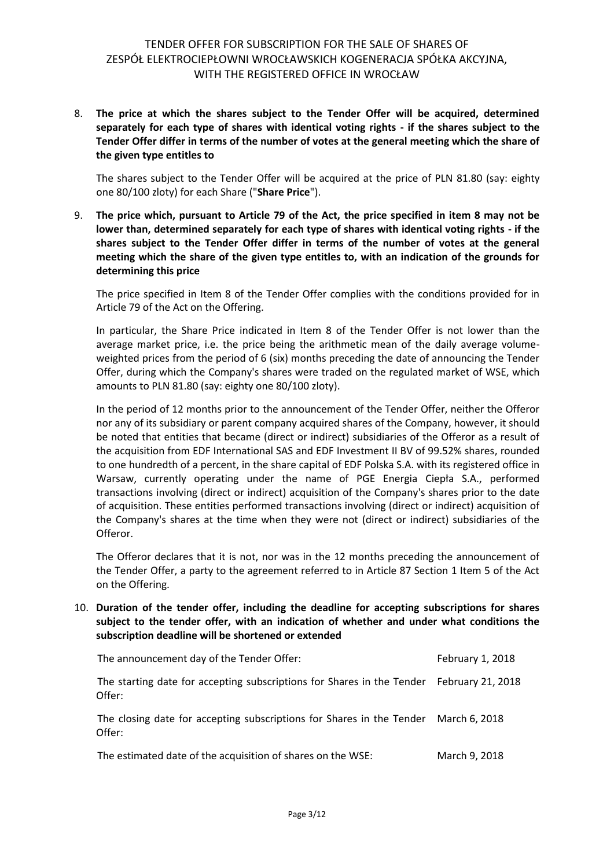## 8. **The price at which the shares subject to the Tender Offer will be acquired, determined separately for each type of shares with identical voting rights - if the shares subject to the Tender Offer differ in terms of the number of votes at the general meeting which the share of the given type entitles to**

The shares subject to the Tender Offer will be acquired at the price of PLN 81.80 (say: eighty one 80/100 zloty) for each Share ("**Share Price**").

9. **The price which, pursuant to Article 79 of the Act, the price specified in item 8 may not be lower than, determined separately for each type of shares with identical voting rights - if the shares subject to the Tender Offer differ in terms of the number of votes at the general meeting which the share of the given type entitles to, with an indication of the grounds for determining this price**

The price specified in Item 8 of the Tender Offer complies with the conditions provided for in Article 79 of the Act on the Offering.

In particular, the Share Price indicated in Item 8 of the Tender Offer is not lower than the average market price, i.e. the price being the arithmetic mean of the daily average volumeweighted prices from the period of 6 (six) months preceding the date of announcing the Tender Offer, during which the Company's shares were traded on the regulated market of WSE, which amounts to PLN 81.80 (say: eighty one 80/100 zloty).

In the period of 12 months prior to the announcement of the Tender Offer, neither the Offeror nor any of its subsidiary or parent company acquired shares of the Company, however, it should be noted that entities that became (direct or indirect) subsidiaries of the Offeror as a result of the acquisition from EDF International SAS and EDF Investment II BV of 99.52% shares, rounded to one hundredth of a percent, in the share capital of EDF Polska S.A. with its registered office in Warsaw, currently operating under the name of PGE Energia Ciepła S.A., performed transactions involving (direct or indirect) acquisition of the Company's shares prior to the date of acquisition. These entities performed transactions involving (direct or indirect) acquisition of the Company's shares at the time when they were not (direct or indirect) subsidiaries of the Offeror.

The Offeror declares that it is not, nor was in the 12 months preceding the announcement of the Tender Offer, a party to the agreement referred to in Article 87 Section 1 Item 5 of the Act on the Offering.

10. **Duration of the tender offer, including the deadline for accepting subscriptions for shares subject to the tender offer, with an indication of whether and under what conditions the subscription deadline will be shortened or extended**

| The announcement day of the Tender Offer:                                                          | February 1, 2018 |
|----------------------------------------------------------------------------------------------------|------------------|
| The starting date for accepting subscriptions for Shares in the Tender February 21, 2018<br>Offer: |                  |
| The closing date for accepting subscriptions for Shares in the Tender March 6, 2018<br>Offer:      |                  |
|                                                                                                    |                  |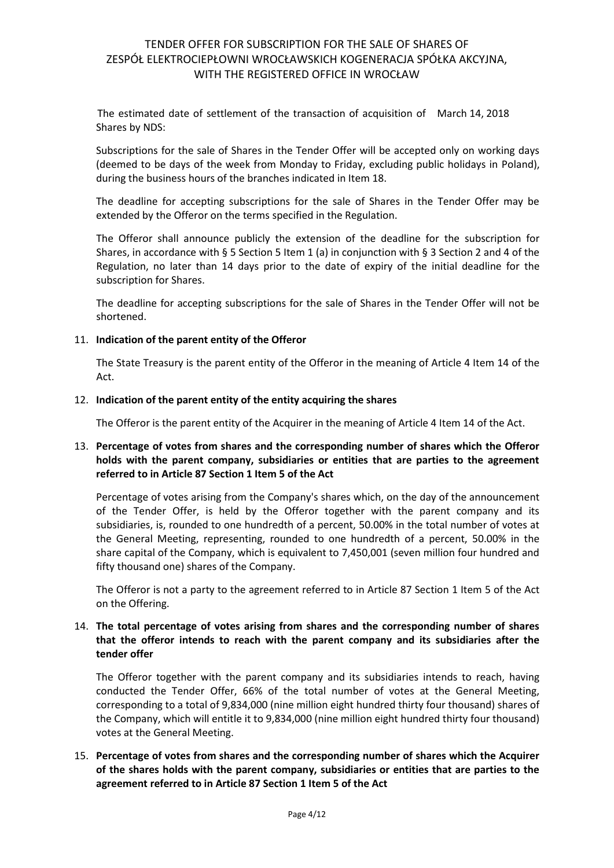The estimated date of settlement of the transaction of acquisition of March 14, 2018 Shares by NDS:

Subscriptions for the sale of Shares in the Tender Offer will be accepted only on working days (deemed to be days of the week from Monday to Friday, excluding public holidays in Poland), during the business hours of the branches indicated in Item 18.

The deadline for accepting subscriptions for the sale of Shares in the Tender Offer may be extended by the Offeror on the terms specified in the Regulation.

The Offeror shall announce publicly the extension of the deadline for the subscription for Shares, in accordance with § 5 Section 5 Item 1 (a) in conjunction with § 3 Section 2 and 4 of the Regulation, no later than 14 days prior to the date of expiry of the initial deadline for the subscription for Shares.

The deadline for accepting subscriptions for the sale of Shares in the Tender Offer will not be shortened.

### 11. **Indication of the parent entity of the Offeror**

The State Treasury is the parent entity of the Offeror in the meaning of Article 4 Item 14 of the Act.

#### 12. **Indication of the parent entity of the entity acquiring the shares**

The Offeror is the parent entity of the Acquirer in the meaning of Article 4 Item 14 of the Act.

## 13. **Percentage of votes from shares and the corresponding number of shares which the Offeror holds with the parent company, subsidiaries or entities that are parties to the agreement referred to in Article 87 Section 1 Item 5 of the Act**

Percentage of votes arising from the Company's shares which, on the day of the announcement of the Tender Offer, is held by the Offeror together with the parent company and its subsidiaries, is, rounded to one hundredth of a percent, 50.00% in the total number of votes at the General Meeting, representing, rounded to one hundredth of a percent, 50.00% in the share capital of the Company, which is equivalent to 7,450,001 (seven million four hundred and fifty thousand one) shares of the Company.

The Offeror is not a party to the agreement referred to in Article 87 Section 1 Item 5 of the Act on the Offering.

## 14. **The total percentage of votes arising from shares and the corresponding number of shares that the offeror intends to reach with the parent company and its subsidiaries after the tender offer**

The Offeror together with the parent company and its subsidiaries intends to reach, having conducted the Tender Offer, 66% of the total number of votes at the General Meeting, corresponding to a total of 9,834,000 (nine million eight hundred thirty four thousand) shares of the Company, which will entitle it to 9,834,000 (nine million eight hundred thirty four thousand) votes at the General Meeting.

## 15. **Percentage of votes from shares and the corresponding number of shares which the Acquirer of the shares holds with the parent company, subsidiaries or entities that are parties to the agreement referred to in Article 87 Section 1 Item 5 of the Act**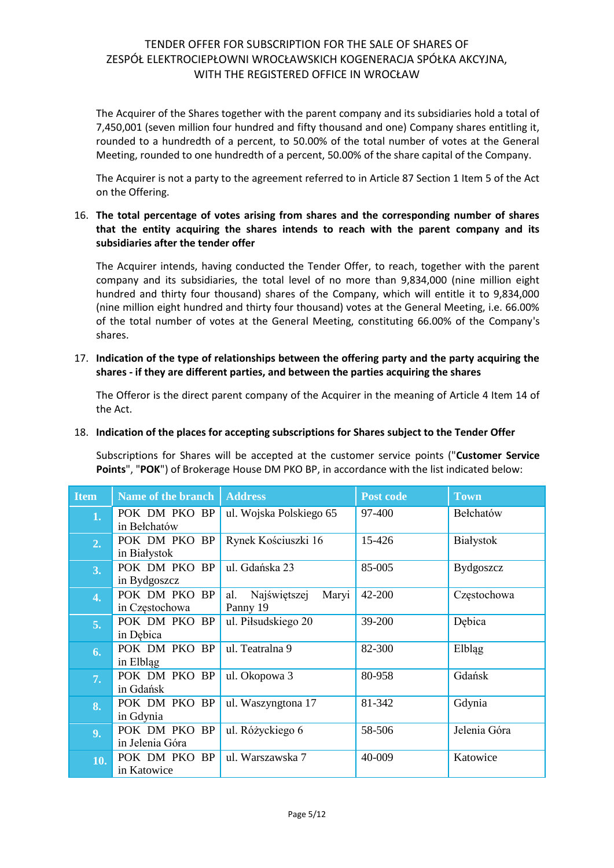The Acquirer of the Shares together with the parent company and its subsidiaries hold a total of 7,450,001 (seven million four hundred and fifty thousand and one) Company shares entitling it, rounded to a hundredth of a percent, to 50.00% of the total number of votes at the General Meeting, rounded to one hundredth of a percent, 50.00% of the share capital of the Company.

The Acquirer is not a party to the agreement referred to in Article 87 Section 1 Item 5 of the Act on the Offering.

## 16. **The total percentage of votes arising from shares and the corresponding number of shares that the entity acquiring the shares intends to reach with the parent company and its subsidiaries after the tender offer**

The Acquirer intends, having conducted the Tender Offer, to reach, together with the parent company and its subsidiaries, the total level of no more than 9,834,000 (nine million eight hundred and thirty four thousand) shares of the Company, which will entitle it to 9,834,000 (nine million eight hundred and thirty four thousand) votes at the General Meeting, i.e. 66.00% of the total number of votes at the General Meeting, constituting 66.00% of the Company's shares.

## 17. **Indication of the type of relationships between the offering party and the party acquiring the shares - if they are different parties, and between the parties acquiring the shares**

The Offeror is the direct parent company of the Acquirer in the meaning of Article 4 Item 14 of the Act.

## 18. **Indication of the places for accepting subscriptions for Shares subject to the Tender Offer**

Subscriptions for Shares will be accepted at the customer service points ("**Customer Service Points**", "**POK**") of Brokerage House DM PKO BP, in accordance with the list indicated below:

| <b>Item</b>    | Name of the branch                         | <b>Address</b>                           | Post code | <b>Town</b>      |
|----------------|--------------------------------------------|------------------------------------------|-----------|------------------|
| 1.             | POK DM PKO BP<br>in Bełchatów              | ul. Wojska Polskiego 65                  | 97-400    | Bełchatów        |
| 2.             | POK DM PKO BP<br>in Białystok              | Rynek Kościuszki 16                      | 15-426    | Białystok        |
| 3.             | POK DM PKO<br>BP<br>in Bydgoszcz           | ul. Gdańska 23                           | 85-005    | <b>Bydgoszcz</b> |
| 4.             | POK DM PKO<br>BP<br>in Częstochowa         | Najświętszej<br>Maryi<br>al.<br>Panny 19 | 42-200    | Częstochowa      |
| 5.             | POK DM PKO BP<br>in Debica                 | ul. Piłsudskiego 20                      | 39-200    | Debica           |
| 6.             | POK DM PKO BP<br>in Elbląg                 | ul. Teatralna 9                          | 82-300    | Elbląg           |
| 7.             | POK DM PKO BP<br>in Gdańsk                 | ul. Okopowa 3                            | 80-958    | Gdańsk           |
| 8.             | POK DM PKO BP<br>in Gdynia                 | ul. Waszyngtona 17                       | 81-342    | Gdynia           |
| 9 <sub>1</sub> | POK DM PKO<br><b>BP</b><br>in Jelenia Góra | ul. Różyckiego 6                         | 58-506    | Jelenia Góra     |
| 10.            | POK DM PKO<br><b>BP</b><br>in Katowice     | ul. Warszawska 7                         | 40-009    | Katowice         |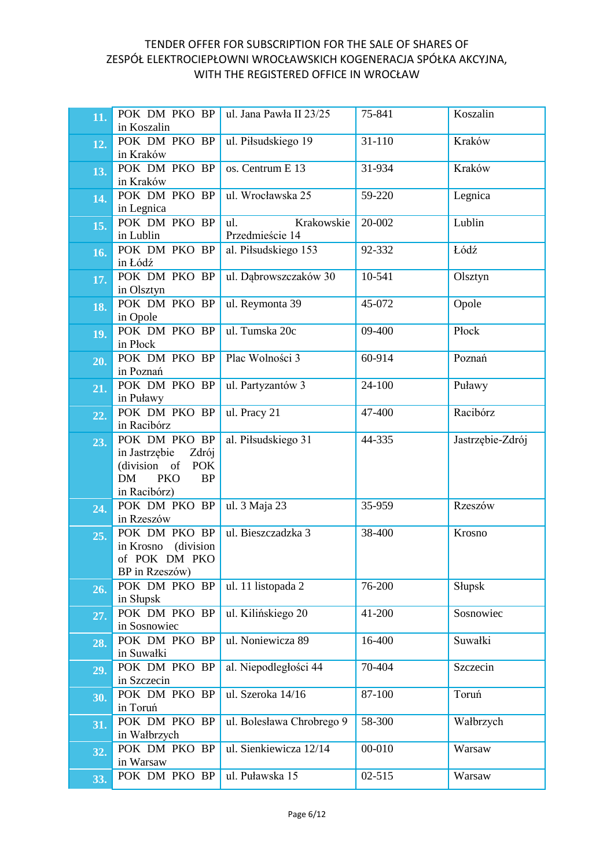| 11. | POK DM PKO BP<br>in Koszalin                             | ul. Jana Pawła II 23/25   | 75-841 | Koszalin         |
|-----|----------------------------------------------------------|---------------------------|--------|------------------|
|     |                                                          |                           |        |                  |
| 12. | POK DM PKO BP                                            | ul. Piłsudskiego 19       | 31-110 | Kraków           |
|     | in Kraków                                                |                           |        |                  |
| 13. | POK DM PKO BP<br>in Kraków                               | os. Centrum E 13          | 31-934 | Kraków           |
|     | POK DM PKO BP                                            | ul. Wrocławska 25         | 59-220 | Legnica          |
| 14. | in Legnica                                               |                           |        |                  |
|     | POK DM PKO BP                                            | Krakowskie<br>ul.         | 20-002 | Lublin           |
| 15. | in Lublin                                                | Przedmieście 14           |        |                  |
|     | POK DM PKO BP                                            | al. Piłsudskiego 153      | 92-332 | Łódź             |
| 16. | in Łódź                                                  |                           |        |                  |
|     | POK DM PKO BP                                            | ul. Dąbrowszczaków 30     | 10-541 | Olsztyn          |
| 17. | in Olsztyn                                               |                           |        |                  |
| 18. | POK DM PKO BP                                            | ul. Reymonta 39           | 45-072 | Opole            |
|     | in Opole                                                 |                           |        |                  |
| 19. | POK DM PKO BP                                            | ul. Tumska 20c            | 09-400 | Płock            |
|     | in Płock                                                 |                           |        |                  |
| 20. | POK DM PKO BP                                            | Plac Wolności 3           | 60-914 | Poznań           |
|     | in Poznań                                                |                           |        |                  |
| 21. | POK DM PKO BP                                            | ul. Partyzantów 3         | 24-100 | Puławy           |
|     | in Puławy                                                |                           |        |                  |
| 22. | POK DM PKO BP                                            | ul. Pracy 21              | 47-400 | Racibórz         |
|     | in Racibórz                                              |                           |        |                  |
| 23. | POK DM PKO BP                                            | al. Piłsudskiego 31       | 44-335 | Jastrzębie-Zdrój |
|     | in Jastrzębie<br>Zdrój                                   |                           |        |                  |
|     | (division of POK<br><b>DM</b><br><b>PKO</b><br><b>BP</b> |                           |        |                  |
|     | in Racibórz)                                             |                           |        |                  |
| 24. | POK DM PKO BP                                            | ul. 3 Maja 23             | 35-959 | Rzeszów          |
|     | in Rzeszów                                               |                           |        |                  |
| 25. | POK DM PKO BP                                            | ul. Bieszczadzka 3        | 38-400 | Krosno           |
|     | in Krosno (division                                      |                           |        |                  |
|     | of POK DM PKO                                            |                           |        |                  |
|     | BP in Rzeszów)                                           |                           |        |                  |
| 26. | POK DM PKO BP                                            | ul. 11 listopada 2        | 76-200 | Słupsk           |
|     | in Słupsk                                                |                           |        |                  |
| 27. | POK DM PKO BP                                            | ul. Kilińskiego 20        | 41-200 | Sosnowiec        |
|     | in Sosnowiec                                             |                           |        |                  |
| 28. | POK DM PKO BP                                            | ul. Noniewicza 89         | 16-400 | Suwałki          |
|     | in Suwałki<br>POK DM PKO BP                              | al. Niepodległości 44     | 70-404 | Szczecin         |
| 29. | in Szczecin                                              |                           |        |                  |
|     | POK DM PKO BP                                            | ul. Szeroka 14/16         | 87-100 | Toruń            |
| 30. | in Toruń                                                 |                           |        |                  |
|     | POK DM PKO BP                                            | ul. Bolesława Chrobrego 9 | 58-300 | Wałbrzych        |
| 31. | in Wałbrzych                                             |                           |        |                  |
| 32. | POK DM PKO BP                                            | ul. Sienkiewicza 12/14    | 00-010 | Warsaw           |
|     | in Warsaw                                                |                           |        |                  |
| 33. | POK DM PKO BP                                            | ul. Puławska 15           | 02-515 | Warsaw           |
|     |                                                          |                           |        |                  |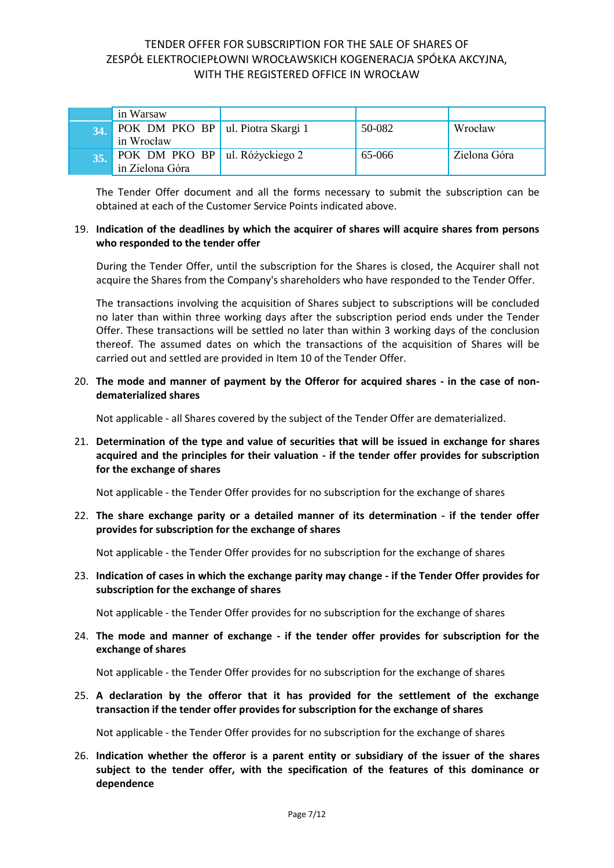|     | in Warsaw                                         |        |              |
|-----|---------------------------------------------------|--------|--------------|
| 34. | POK DM PKO BP ul. Piotra Skargi 1<br>in Wrocław   | 50-082 | Wrocław      |
| 35. | POK DM PKO BP ul. Różyckiego 2<br>in Zielona Góra | 65-066 | Zielona Góra |

The Tender Offer document and all the forms necessary to submit the subscription can be obtained at each of the Customer Service Points indicated above.

#### 19. **Indication of the deadlines by which the acquirer of shares will acquire shares from persons who responded to the tender offer**

During the Tender Offer, until the subscription for the Shares is closed, the Acquirer shall not acquire the Shares from the Company's shareholders who have responded to the Tender Offer.

The transactions involving the acquisition of Shares subject to subscriptions will be concluded no later than within three working days after the subscription period ends under the Tender Offer. These transactions will be settled no later than within 3 working days of the conclusion thereof. The assumed dates on which the transactions of the acquisition of Shares will be carried out and settled are provided in Item 10 of the Tender Offer.

### 20. **The mode and manner of payment by the Offeror for acquired shares - in the case of nondematerialized shares**

Not applicable - all Shares covered by the subject of the Tender Offer are dematerialized.

## 21. **Determination of the type and value of securities that will be issued in exchange for shares acquired and the principles for their valuation - if the tender offer provides for subscription for the exchange of shares**

Not applicable - the Tender Offer provides for no subscription for the exchange of shares

22. **The share exchange parity or a detailed manner of its determination - if the tender offer provides for subscription for the exchange of shares**

Not applicable - the Tender Offer provides for no subscription for the exchange of shares

23. **Indication of cases in which the exchange parity may change - if the Tender Offer provides for subscription for the exchange of shares**

Not applicable - the Tender Offer provides for no subscription for the exchange of shares

24. **The mode and manner of exchange - if the tender offer provides for subscription for the exchange of shares**

Not applicable - the Tender Offer provides for no subscription for the exchange of shares

25. **A declaration by the offeror that it has provided for the settlement of the exchange transaction if the tender offer provides for subscription for the exchange of shares**

Not applicable - the Tender Offer provides for no subscription for the exchange of shares

26. **Indication whether the offeror is a parent entity or subsidiary of the issuer of the shares subject to the tender offer, with the specification of the features of this dominance or dependence**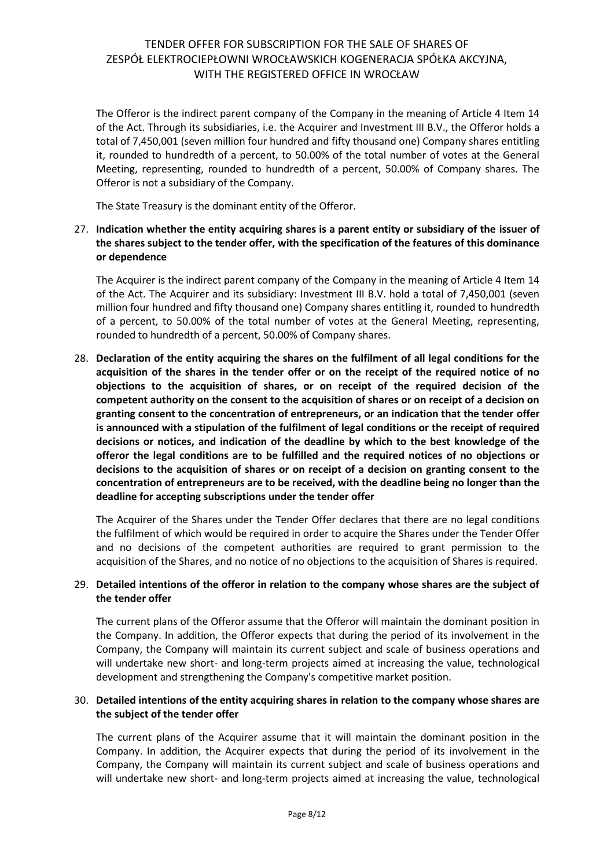The Offeror is the indirect parent company of the Company in the meaning of Article 4 Item 14 of the Act. Through its subsidiaries, i.e. the Acquirer and Investment III B.V., the Offeror holds a total of 7,450,001 (seven million four hundred and fifty thousand one) Company shares entitling it, rounded to hundredth of a percent, to 50.00% of the total number of votes at the General Meeting, representing, rounded to hundredth of a percent, 50.00% of Company shares. The Offeror is not a subsidiary of the Company.

The State Treasury is the dominant entity of the Offeror.

## 27. **Indication whether the entity acquiring shares is a parent entity or subsidiary of the issuer of the shares subject to the tender offer, with the specification of the features of this dominance or dependence**

The Acquirer is the indirect parent company of the Company in the meaning of Article 4 Item 14 of the Act. The Acquirer and its subsidiary: Investment III B.V. hold a total of 7,450,001 (seven million four hundred and fifty thousand one) Company shares entitling it, rounded to hundredth of a percent, to 50.00% of the total number of votes at the General Meeting, representing, rounded to hundredth of a percent, 50.00% of Company shares.

28. **Declaration of the entity acquiring the shares on the fulfilment of all legal conditions for the acquisition of the shares in the tender offer or on the receipt of the required notice of no objections to the acquisition of shares, or on receipt of the required decision of the competent authority on the consent to the acquisition of shares or on receipt of a decision on granting consent to the concentration of entrepreneurs, or an indication that the tender offer is announced with a stipulation of the fulfilment of legal conditions or the receipt of required decisions or notices, and indication of the deadline by which to the best knowledge of the offeror the legal conditions are to be fulfilled and the required notices of no objections or decisions to the acquisition of shares or on receipt of a decision on granting consent to the concentration of entrepreneurs are to be received, with the deadline being no longer than the deadline for accepting subscriptions under the tender offer**

The Acquirer of the Shares under the Tender Offer declares that there are no legal conditions the fulfilment of which would be required in order to acquire the Shares under the Tender Offer and no decisions of the competent authorities are required to grant permission to the acquisition of the Shares, and no notice of no objections to the acquisition of Shares is required.

### 29. **Detailed intentions of the offeror in relation to the company whose shares are the subject of the tender offer**

The current plans of the Offeror assume that the Offeror will maintain the dominant position in the Company. In addition, the Offeror expects that during the period of its involvement in the Company, the Company will maintain its current subject and scale of business operations and will undertake new short- and long-term projects aimed at increasing the value, technological development and strengthening the Company's competitive market position.

### 30. **Detailed intentions of the entity acquiring shares in relation to the company whose shares are the subject of the tender offer**

The current plans of the Acquirer assume that it will maintain the dominant position in the Company. In addition, the Acquirer expects that during the period of its involvement in the Company, the Company will maintain its current subject and scale of business operations and will undertake new short- and long-term projects aimed at increasing the value, technological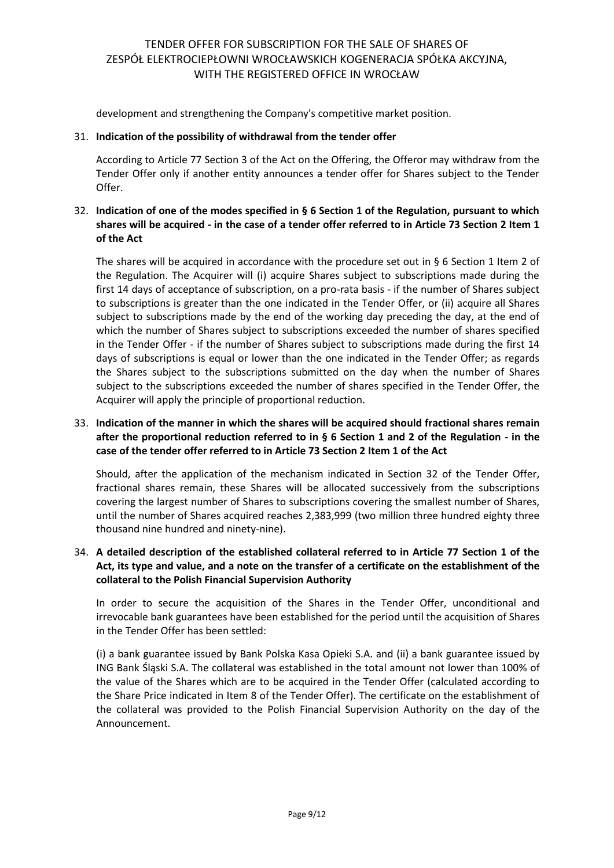development and strengthening the Company's competitive market position.

### 31. **Indication of the possibility of withdrawal from the tender offer**

According to Article 77 Section 3 of the Act on the Offering, the Offeror may withdraw from the Tender Offer only if another entity announces a tender offer for Shares subject to the Tender Offer.

## 32. **Indication of one of the modes specified in § 6 Section 1 of the Regulation, pursuant to which shares will be acquired - in the case of a tender offer referred to in Article 73 Section 2 Item 1 of the Act**

The shares will be acquired in accordance with the procedure set out in § 6 Section 1 Item 2 of the Regulation. The Acquirer will (i) acquire Shares subject to subscriptions made during the first 14 days of acceptance of subscription, on a pro-rata basis - if the number of Shares subject to subscriptions is greater than the one indicated in the Tender Offer, or (ii) acquire all Shares subject to subscriptions made by the end of the working day preceding the day, at the end of which the number of Shares subject to subscriptions exceeded the number of shares specified in the Tender Offer - if the number of Shares subject to subscriptions made during the first 14 days of subscriptions is equal or lower than the one indicated in the Tender Offer; as regards the Shares subject to the subscriptions submitted on the day when the number of Shares subject to the subscriptions exceeded the number of shares specified in the Tender Offer, the Acquirer will apply the principle of proportional reduction.

## 33. **Indication of the manner in which the shares will be acquired should fractional shares remain after the proportional reduction referred to in § 6 Section 1 and 2 of the Regulation - in the case of the tender offer referred to in Article 73 Section 2 Item 1 of the Act**

Should, after the application of the mechanism indicated in Section 32 of the Tender Offer, fractional shares remain, these Shares will be allocated successively from the subscriptions covering the largest number of Shares to subscriptions covering the smallest number of Shares, until the number of Shares acquired reaches 2,383,999 (two million three hundred eighty three thousand nine hundred and ninety-nine).

## 34. **A detailed description of the established collateral referred to in Article 77 Section 1 of the Act, its type and value, and a note on the transfer of a certificate on the establishment of the collateral to the Polish Financial Supervision Authority**

In order to secure the acquisition of the Shares in the Tender Offer, unconditional and irrevocable bank guarantees have been established for the period until the acquisition of Shares in the Tender Offer has been settled:

(i) a bank guarantee issued by Bank Polska Kasa Opieki S.A. and (ii) a bank guarantee issued by ING Bank Śląski S.A. The collateral was established in the total amount not lower than 100% of the value of the Shares which are to be acquired in the Tender Offer (calculated according to the Share Price indicated in Item 8 of the Tender Offer). The certificate on the establishment of the collateral was provided to the Polish Financial Supervision Authority on the day of the Announcement.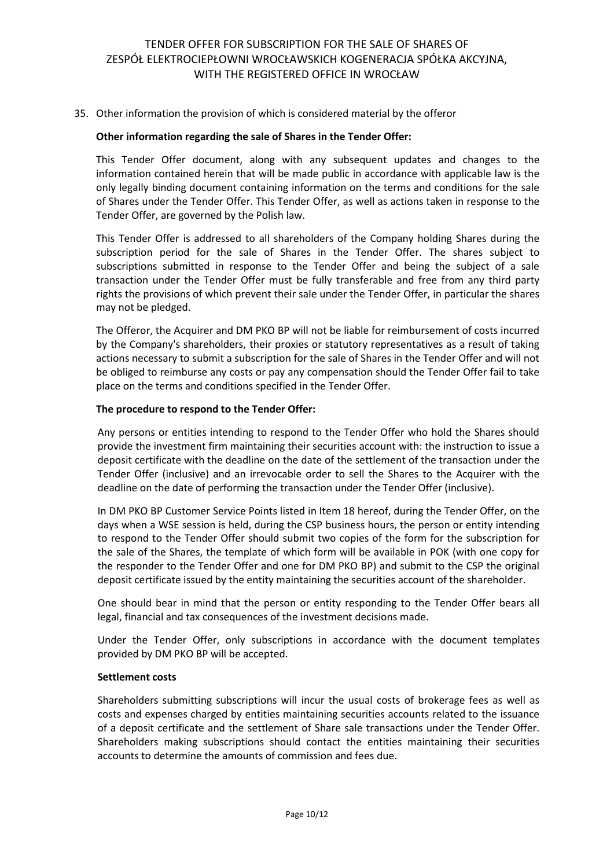### 35. Other information the provision of which is considered material by the offeror

#### **Other information regarding the sale of Shares in the Tender Offer:**

This Tender Offer document, along with any subsequent updates and changes to the information contained herein that will be made public in accordance with applicable law is the only legally binding document containing information on the terms and conditions for the sale of Shares under the Tender Offer. This Tender Offer, as well as actions taken in response to the Tender Offer, are governed by the Polish law.

This Tender Offer is addressed to all shareholders of the Company holding Shares during the subscription period for the sale of Shares in the Tender Offer. The shares subject to subscriptions submitted in response to the Tender Offer and being the subject of a sale transaction under the Tender Offer must be fully transferable and free from any third party rights the provisions of which prevent their sale under the Tender Offer, in particular the shares may not be pledged.

The Offeror, the Acquirer and DM PKO BP will not be liable for reimbursement of costs incurred by the Company's shareholders, their proxies or statutory representatives as a result of taking actions necessary to submit a subscription for the sale of Shares in the Tender Offer and will not be obliged to reimburse any costs or pay any compensation should the Tender Offer fail to take place on the terms and conditions specified in the Tender Offer.

#### **The procedure to respond to the Tender Offer:**

Any persons or entities intending to respond to the Tender Offer who hold the Shares should provide the investment firm maintaining their securities account with: the instruction to issue a deposit certificate with the deadline on the date of the settlement of the transaction under the Tender Offer (inclusive) and an irrevocable order to sell the Shares to the Acquirer with the deadline on the date of performing the transaction under the Tender Offer (inclusive).

In DM PKO BP Customer Service Points listed in Item 18 hereof, during the Tender Offer, on the days when a WSE session is held, during the CSP business hours, the person or entity intending to respond to the Tender Offer should submit two copies of the form for the subscription for the sale of the Shares, the template of which form will be available in POK (with one copy for the responder to the Tender Offer and one for DM PKO BP) and submit to the CSP the original deposit certificate issued by the entity maintaining the securities account of the shareholder.

One should bear in mind that the person or entity responding to the Tender Offer bears all legal, financial and tax consequences of the investment decisions made.

Under the Tender Offer, only subscriptions in accordance with the document templates provided by DM PKO BP will be accepted.

#### **Settlement costs**

Shareholders submitting subscriptions will incur the usual costs of brokerage fees as well as costs and expenses charged by entities maintaining securities accounts related to the issuance of a deposit certificate and the settlement of Share sale transactions under the Tender Offer. Shareholders making subscriptions should contact the entities maintaining their securities accounts to determine the amounts of commission and fees due.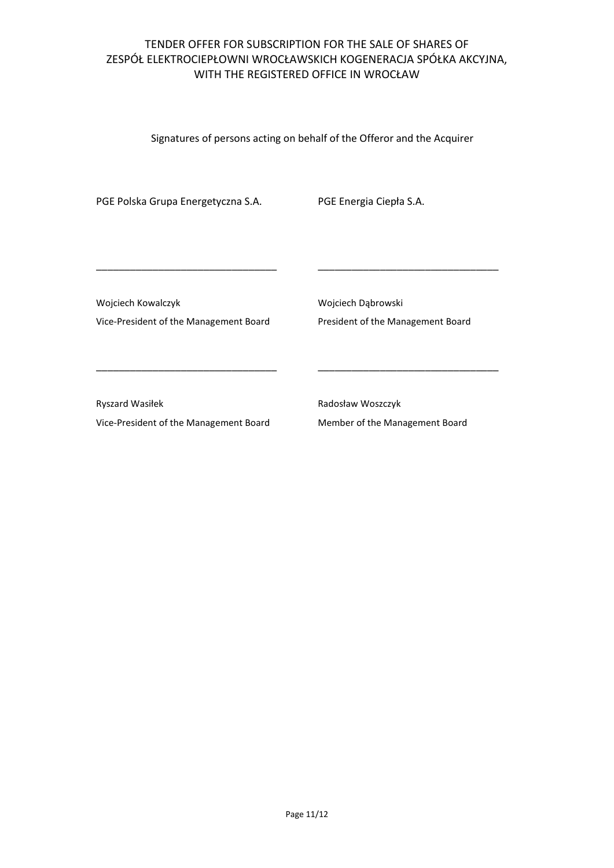Signatures of persons acting on behalf of the Offeror and the Acquirer

PGE Polska Grupa Energetyczna S.A. PGE Energia Ciepła S.A.

Wojciech Kowalczyk

Vice-President of the Management Board

\_\_\_\_\_\_\_\_\_\_\_\_\_\_\_\_\_\_\_\_\_\_\_\_\_\_\_\_\_\_\_\_

\_\_\_\_\_\_\_\_\_\_\_\_\_\_\_\_\_\_\_\_\_\_\_\_\_\_\_\_\_\_\_\_

Wojciech Dąbrowski President of the Management Board

\_\_\_\_\_\_\_\_\_\_\_\_\_\_\_\_\_\_\_\_\_\_\_\_\_\_\_\_\_\_\_\_

\_\_\_\_\_\_\_\_\_\_\_\_\_\_\_\_\_\_\_\_\_\_\_\_\_\_\_\_\_\_\_\_

Ryszard Wasiłek Vice-President of the Management Board Radosław Woszczyk Member of the Management Board